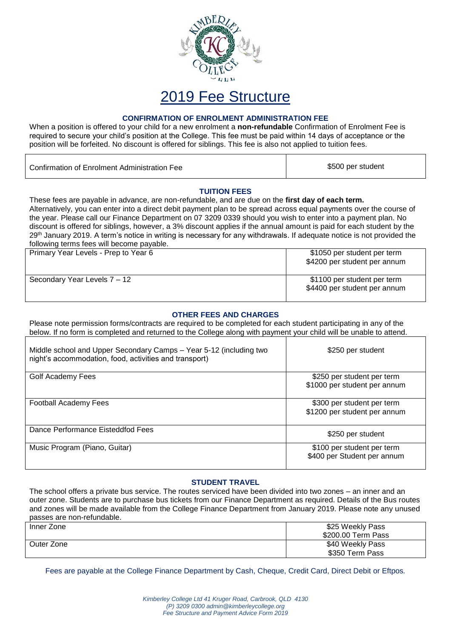

## 2019 Fee Structure

#### **CONFIRMATION OF ENROLMENT ADMINISTRATION FEE**

When a position is offered to your child for a new enrolment a **non-refundable** Confirmation of Enrolment Fee is required to secure your child's position at the College. This fee must be paid within 14 days of acceptance or the position will be forfeited. No discount is offered for siblings. This fee is also not applied to tuition fees.

| Confirmation of Enrolment Administration Fee | \$500 per student |
|----------------------------------------------|-------------------|
|                                              |                   |

#### **TUITION FEES**

These fees are payable in advance, are non-refundable, and are due on the **first day of each term.** Alternatively, you can enter into a direct debit payment plan to be spread across equal payments over the course of the year. Please call our Finance Department on 07 3209 0339 should you wish to enter into a payment plan. No discount is offered for siblings, however, a 3% discount applies if the annual amount is paid for each student by the 29<sup>th</sup> January 2019. A term's notice in writing is necessary for any withdrawals. If adequate notice is not provided the following terms fees will become payable.

| Primary Year Levels - Prep to Year 6 | \$1050 per student per term<br>\$4200 per student per annum |
|--------------------------------------|-------------------------------------------------------------|
| Secondary Year Levels 7 - 12         | \$1100 per student per term<br>\$4400 per student per annum |

#### **OTHER FEES AND CHARGES**

Please note permission forms/contracts are required to be completed for each student participating in any of the below. If no form is completed and returned to the College along with payment your child will be unable to attend.

| Middle school and Upper Secondary Camps - Year 5-12 (including two<br>night's accommodation, food, activities and transport) | \$250 per student                                          |
|------------------------------------------------------------------------------------------------------------------------------|------------------------------------------------------------|
| Golf Academy Fees                                                                                                            | \$250 per student per term<br>\$1000 per student per annum |
| <b>Football Academy Fees</b>                                                                                                 | \$300 per student per term<br>\$1200 per student per annum |
| Dance Performance Eisteddfod Fees                                                                                            | \$250 per student                                          |
| Music Program (Piano, Guitar)                                                                                                | \$100 per student per term<br>\$400 per Student per annum  |

#### **STUDENT TRAVEL**

The school offers a private bus service. The routes serviced have been divided into two zones – an inner and an outer zone. Students are to purchase bus tickets from our Finance Department as required. Details of the Bus routes and zones will be made available from the College Finance Department from January 2019. Please note any unused passes are non-refundable.

| Inner Zone | \$25 Weekly Pass   |  |
|------------|--------------------|--|
|            | \$200.00 Term Pass |  |
| Outer Zone | \$40 Weekly Pass   |  |
|            | \$350 Term Pass    |  |

Fees are payable at the College Finance Department by Cash, Cheque, Credit Card, Direct Debit or Eftpos*.*